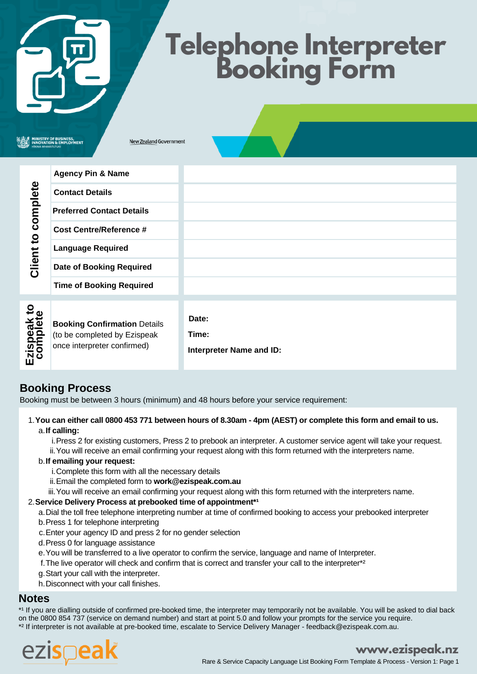# **Telephone Interpreter Booking Form**

New Zealand Government

|                                    | <b>Agency Pin &amp; Name</b>                                                                       |                                                   |
|------------------------------------|----------------------------------------------------------------------------------------------------|---------------------------------------------------|
| complete<br>$\mathbf{c}$<br>Client | <b>Contact Details</b>                                                                             |                                                   |
|                                    | <b>Preferred Contact Details</b>                                                                   |                                                   |
|                                    | Cost Centre/Reference #                                                                            |                                                   |
|                                    | <b>Language Required</b>                                                                           |                                                   |
|                                    | <b>Date of Booking Required</b>                                                                    |                                                   |
|                                    | <b>Time of Booking Required</b>                                                                    |                                                   |
| Ezispeak to<br>complete            | <b>Booking Confirmation Details</b><br>(to be completed by Ezispeak<br>once interpreter confirmed) | Date:<br>Time:<br><b>Interpreter Name and ID:</b> |

#### **Booking Process**

Booking must be between 3 hours (minimum) and 48 hours before your service requirement:

- 1. You can either call 0800 453 771 between hours of 8.30am 4pm (AEST) or complete this form and email to us. **If calling:** a.
	- i.Press 2 for existing customers, Press 2 to prebook an interpreter. A customer service agent will take your request. You will receive an email confirming your request along with this form returned with the interpreters name. ii.

#### **If emailing your request:** b.

- i. Complete this form with all the necessary details
- Email the completed form to **work@ezispeak.com.au** ii.
- iii. You will receive an email confirming your request along with this form returned with the interpreters name.

#### **Service Delivery Process at prebooked time of appointment\*¹** 2.

- Dial the toll free telephone interpreting number at time of confirmed booking to access your prebooked interpreter a.
	- b. Press 1 for telephone interpreting
	- Enter your agency ID and press 2 for no gender selection c.
	- d. Press 0 for language assistance
	- You will be transferred to a live operator to confirm the service, language and name of Interpreter. e.
	- f. The live operator will check and confirm that is correct and transfer your call to the interpreter\*2
	- Start your call with the interpreter. g.
	- h. Disconnect with your call finishes.

#### **Notes**

\*1 If you are dialling outside of confirmed pre-booked time, the interpreter may temporarily not be available. You will be asked to dial back on the 0800 854 737 (service on demand number) and start at point 5.0 and follow your prompts for the service you require. \*² If interpreter is not available at pre-booked time, escalate to Service Delivery Manager - feedback@ezispeak.com.au.



#### **www.ezispeak.nz**